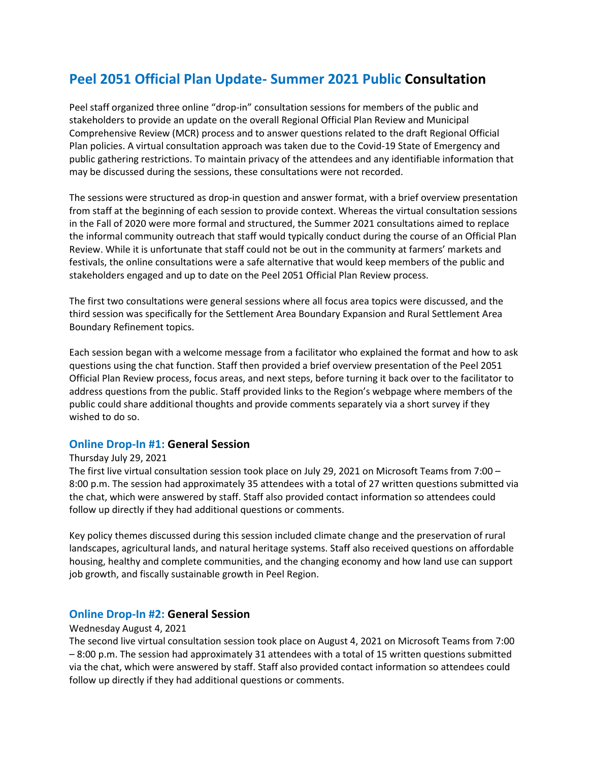# **Peel 2051 Official Plan Update- Summer 2021 Public Consultation**

Peel staff organized three online "drop-in" consultation sessions for members of the public and stakeholders to provide an update on the overall Regional Official Plan Review and Municipal Comprehensive Review (MCR) process and to answer questions related to the draft Regional Official Plan policies. A virtual consultation approach was taken due to the Covid-19 State of Emergency and public gathering restrictions. To maintain privacy of the attendees and any identifiable information that may be discussed during the sessions, these consultations were not recorded.

The sessions were structured as drop-in question and answer format, with a brief overview presentation from staff at the beginning of each session to provide context. Whereas the virtual consultation sessions in the Fall of 2020 were more formal and structured, the Summer 2021 consultations aimed to replace the informal community outreach that staff would typically conduct during the course of an Official Plan Review. While it is unfortunate that staff could not be out in the community at farmers' markets and festivals, the online consultations were a safe alternative that would keep members of the public and stakeholders engaged and up to date on the Peel 2051 Official Plan Review process.

The first two consultations were general sessions where all focus area topics were discussed, and the third session was specifically for the Settlement Area Boundary Expansion and Rural Settlement Area Boundary Refinement topics.

Each session began with a welcome message from a facilitator who explained the format and how to ask questions using the chat function. Staff then provided a brief overview presentation of the Peel 2051 Official Plan Review process, focus areas, and next steps, before turning it back over to the facilitator to address questions from the public. Staff provided links to the Region's webpage where members of the public could share additional thoughts and provide comments separately via a short survey if they wished to do so.

#### **Online Drop-In #1: General Session**

#### Thursday July 29, 2021

The first live virtual consultation session took place on July 29, 2021 on Microsoft Teams from 7:00 – 8:00 p.m. The session had approximately 35 attendees with a total of 27 written questions submitted via the chat, which were answered by staff. Staff also provided contact information so attendees could follow up directly if they had additional questions or comments.

Key policy themes discussed during this session included climate change and the preservation of rural landscapes, agricultural lands, and natural heritage systems. Staff also received questions on affordable housing, healthy and complete communities, and the changing economy and how land use can support job growth, and fiscally sustainable growth in Peel Region.

### **Online Drop-In #2: General Session**

#### Wednesday August 4, 2021

The second live virtual consultation session took place on August 4, 2021 on Microsoft Teams from 7:00 – 8:00 p.m. The session had approximately 31 attendees with a total of 15 written questions submitted via the chat, which were answered by staff. Staff also provided contact information so attendees could follow up directly if they had additional questions or comments.